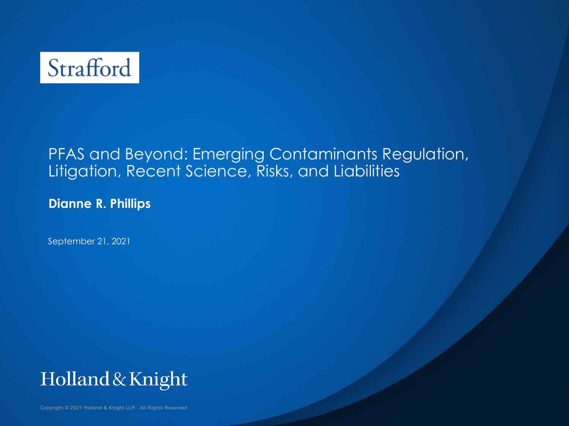

#### PFAS and Beyond: Emerging Contaminants Regulation, Litigation, Recent Science, Risks, and Liabilities

**Dianne R. Phillips**

September 21, 2021



Copyright © 2021 Holland & Knight LLP. All Rights Reserved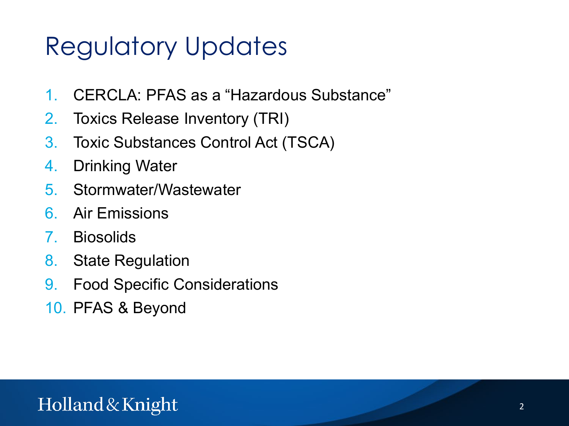# Regulatory Updates

- 1. CERCLA: PFAS as a "Hazardous Substance"
- 2. Toxics Release Inventory (TRI)
- 3. Toxic Substances Control Act (TSCA)
- 4. Drinking Water
- 5. Stormwater/Wastewater
- 6. Air Emissions
- 7. Biosolids
- 8. State Regulation
- 9. Food Specific Considerations
- 10. PFAS & Beyond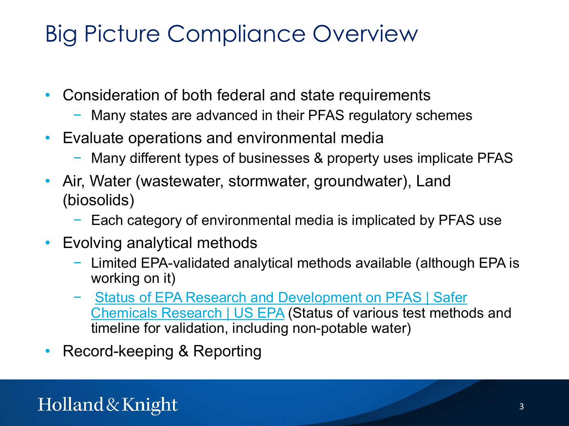### Big Picture Compliance Overview

- Consideration of both federal and state requirements
	- Many states are advanced in their PFAS regulatory schemes
- Evaluate operations and environmental media
	- − Many different types of businesses & property uses implicate PFAS
- Air, Water (wastewater, stormwater, groundwater), Land (biosolids)
	- − Each category of environmental media is implicated by PFAS use
- Evolving analytical methods
	- − Limited EPA-validated analytical methods available (although EPA is working on it)
	- − [Status of EPA Research and Development on PFAS](https://www.epa.gov/chemical-research/status-epa-research-and-development-pfas) | Safer Chemicals Research | US EPA (Status of various test methods and timeline for validation, including non-potable water)
- Record-keeping & Reporting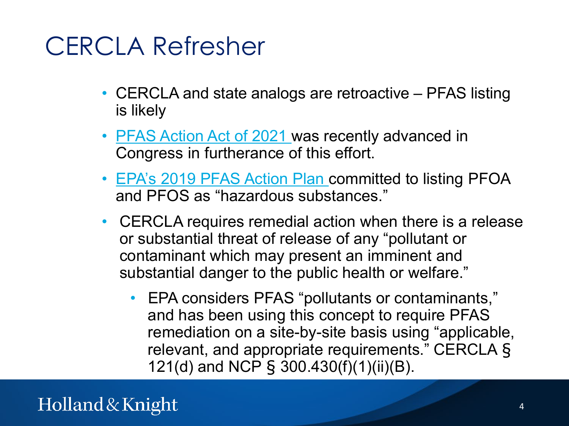### CERCLA Refresher

- CERCLA and state analogs are retroactive PFAS listing is likely
- **PFAS Action Act of 2021** was recently advanced in Congress in furtherance of this effort.
- [EPA's 2019 PFAS](https://www.epa.gov/pfas/epas-pfas-action-plan) Action Plan committed to listing PFOA and PFOS as "hazardous substances."
- CERCLA requires remedial action when there is a release or substantial threat of release of any "pollutant or contaminant which may present an imminent and substantial danger to the public health or welfare."
	- EPA considers PFAS "pollutants or contaminants," and has been using this concept to require PFAS remediation on a site-by-site basis using "applicable, relevant, and appropriate requirements." CERCLA § 121(d) and NCP § 300.430(f)(1)(ii)(B).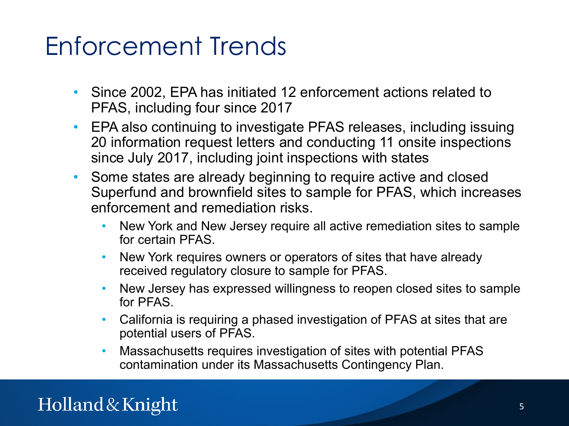### Enforcement Trends

- Since 2002, EPA has initiated 12 enforcement actions related to PFAS, including four since 2017
- EPA also continuing to investigate PFAS releases, including issuing 20 information request letters and conducting 11 onsite inspections since July 2017, including joint inspections with states
- Some states are already beginning to require active and closed Superfund and brownfield sites to sample for PFAS, which increases enforcement and remediation risks.
	- New York and New Jersey require all active remediation sites to sample for certain PFAS.
	- New York requires owners or operators of sites that have already received regulatory closure to sample for PFAS.
	- New Jersey has expressed willingness to reopen closed sites to sample for PFAS.
	- California is requiring a phased investigation of PFAS at sites that are potential users of PFAS.
	- Massachusetts requires investigation of sites with potential PFAS contamination under its Massachusetts Contingency Plan.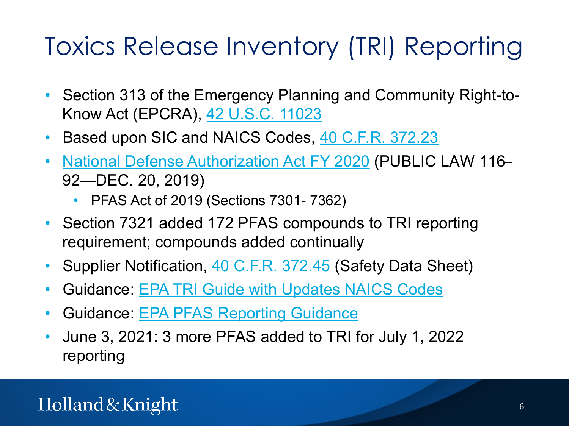# Toxics Release Inventory (TRI) Reporting

- Section 313 of the Emergency Planning and Community Right-to-Know Act (EPCRA), [42 U.S.C. 11023](https://www.law.cornell.edu/uscode/text/42/11023)
- Based upon SIC and NAICS Codes, [40 C.F.R. 372.23](https://www.law.cornell.edu/cfr/text/40/372.23)
- [National Defense Authorization Act FY 2020](https://congress.gov/116/plaws/publ92/PLAW-116publ92.pdf) (PUBLIC LAW 116– 92—DEC. 20, 2019)
	- PFAS Act of 2019 (Sections 7301- 7362)
- Section 7321 added 172 PFAS compounds to TRI reporting requirement; compounds added continually
- Supplier Notification, [40 C.F.R. 372.45](https://www.law.cornell.edu/cfr/text/40/372.45) (Safety Data Sheet)
- Guidance: [EPA TRI Guide with Updates NAICS](https://ofmpub.epa.gov/apex/guideme_ext/f?p=104:41) Codes
- Guidance: EPA PFAS [Reporting Guidance](https://ofmpub.epa.gov/apex/guideme_ext/f?p=guideme:gd-title:::::title:pfas_resources)
- June 3, 2021: 3 more PFAS added to TRI for July 1, 2022 reporting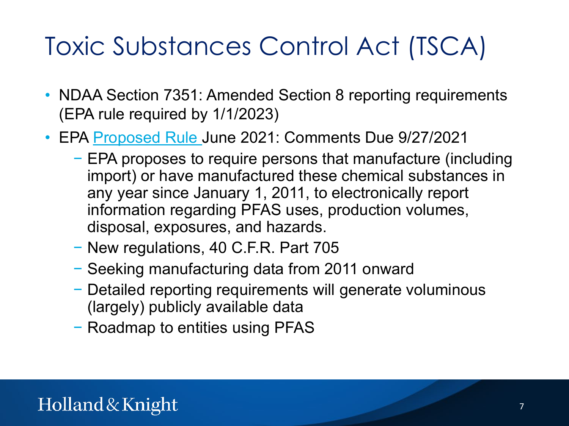# Toxic Substances Control Act (TSCA)

- NDAA Section 7351: Amended Section 8 reporting requirements (EPA rule required by 1/1/2023)
- EPA [Proposed Rule J](https://www.epa.gov/node/267465/view)une 2021: Comments Due 9/27/2021
	- − EPA proposes to require persons that manufacture (including import) or have manufactured these chemical substances in any year since January 1, 2011, to electronically report information regarding PFAS uses, production volumes, disposal, exposures, and hazards.
	- − New regulations, 40 C.F.R. Part 705
	- − Seeking manufacturing data from 2011 onward
	- − Detailed reporting requirements will generate voluminous (largely) publicly available data
	- − Roadmap to entities using PFAS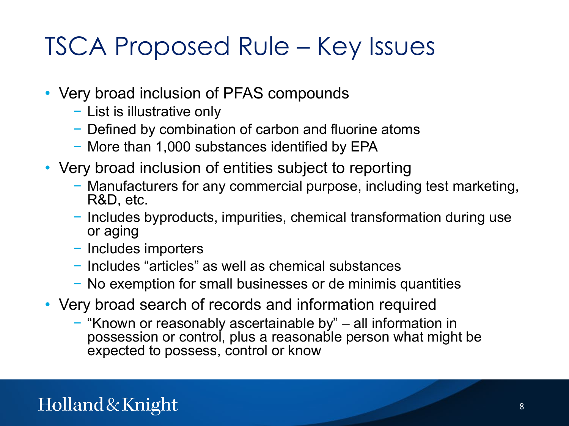### TSCA Proposed Rule – Key Issues

- Very broad inclusion of PFAS compounds
	- − List is illustrative only
	- − Defined by combination of carbon and fluorine atoms
	- − More than 1,000 substances identified by EPA
- Very broad inclusion of entities subject to reporting
	- − Manufacturers for any commercial purpose, including test marketing, R&D, etc.
	- − Includes byproducts, impurities, chemical transformation during use or aging
	- − Includes importers
	- − Includes "articles" as well as chemical substances
	- − No exemption for small businesses or de minimis quantities
- Very broad search of records and information required
	- − "Known or reasonably ascertainable by" all information in possession or control, plus a reasonable person what might be expected to possess, control or know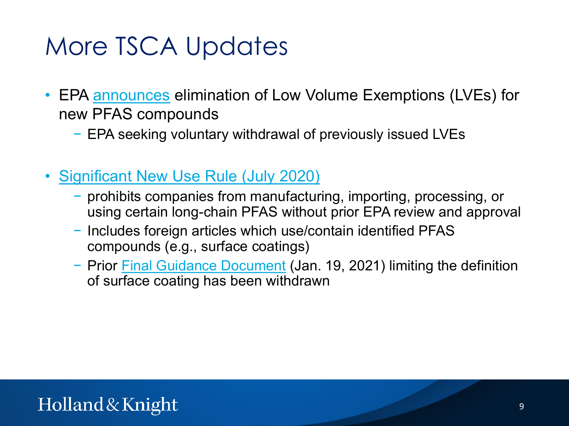### More TSCA Updates

- EPA [announces](https://www.epa.gov/chemicals-under-tsca/epa-announces-changes-prevent-unsafe-new-pfas-entering-market) elimination of Low Volume Exemptions (LVEs) for new PFAS compounds
	- − EPA seeking voluntary withdrawal of previously issued LVEs
- [Significant New Use Rule \(July 2020\)](https://www.regulations.gov/document/EPA-HQ-OPPT-2013-0225-0232)
	- − prohibits companies from manufacturing, importing, processing, or using certain long-chain PFAS without prior EPA review and approval
	- − Includes foreign articles which use/contain identified PFAS compounds (e.g., surface coatings)
	- − Prior [Final Guidance Document](https://www.epa.gov/assessing-and-managing-chemicals-under-tsca/guidance-imported-articles-covered-july-2020-pfas-rule) (Jan. 19, 2021) limiting the definition of surface coating has been withdrawn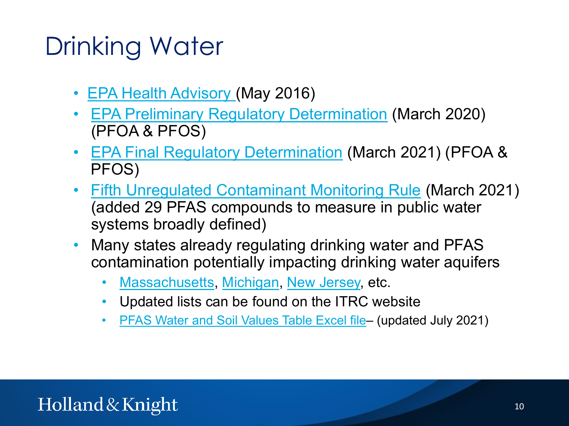### Drinking Water

- [EPA Health Advisory](https://www.epa.gov/sites/default/files/2016-05/documents/pfoa_health_advisory_final_508.pdf) (May 2016)
- **[EPA Preliminary Regulatory Determination](https://www.federalregister.gov/documents/2020/03/10/2020-04145/announcement-of-preliminary-regulatory-determinations-for-contaminants-on-the-fourth-drinking-water) (March 2020)** (PFOA & PFOS)
- [EPA Final Regulatory Determination](https://www.federalregister.gov/documents/2021/03/03/2021-04184/announcement-of-final-regulatory-determinations-for-contaminants-on-the-fourth-drinking-water) (March 2021) (PFOA & PFOS)
- [Fifth Unregulated Contaminant Monitoring Rule](https://www.epa.gov/dwucmr/fifth-unregulated-contaminant-monitoring-rule) (March 2021) (added 29 PFAS compounds to measure in public water systems broadly defined)
- Many states already regulating drinking water and PFAS contamination potentially impacting drinking water aquifers
	- [Massachusetts](https://www.mass.gov/doc/pfas-mcl-revisions-to-310-cmr-2200-clean-version-9-16-2020/download), [Michigan](https://content.govdelivery.com/accounts/MIDEQ/bulletins/298c5fe), [New Jersey,](https://www.nj.gov/dep/newsrel/2020/20_0025.htm) etc.
	- Updated lists can be found on the ITRC website
	- PFAS [Water and Soil Values Table Excel file–](https://pfas-1.itrcweb.org/wp-content/uploads/2021/08/ITRCPFASWaterandSoilValuesTables_JULY-2021-FINAL.xlsx) (updated July 2021)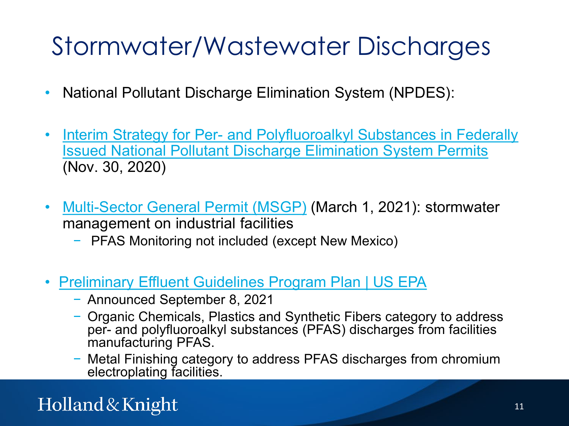# Stormwater/Wastewater Discharges

- National Pollutant Discharge Elimination System (NPDES):
- Interim Strategy for Per- and Polyfluoroalkyl Substances in Federally [Issued National Pollutant Discharge Elimination System Permits](https://www.epa.gov/sites/production/files/2020-11/documents/pfas_npdes_interim_strategy_november_2020_signed.pdf) (Nov. 30, 2020)
- [Multi-Sector General Permit \(MSGP\)](https://www.epa.gov/npdes/stormwater-discharges-industrial-activities-epas-2021-msgp) (March 1, 2021): stormwater management on industrial facilities
	- − PFAS Monitoring not included (except New Mexico)
- [Preliminary Effluent Guidelines Program Plan | US EPA](https://www.epa.gov/eg/preliminary-effluent-guidelines-program-plan)
	- − Announced September 8, 2021
	- − Organic Chemicals, Plastics and Synthetic Fibers category to address per- and polyfluoroalkyl substances (PFAS) discharges from facilities manufacturing PFAS.
	- − Metal Finishing category to address PFAS discharges from chromium electroplating facilities.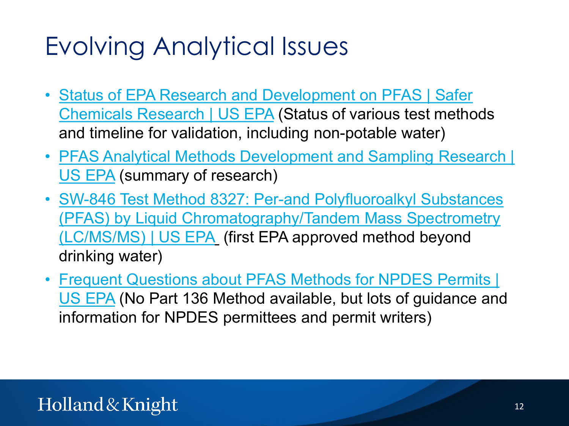# Evolving Analytical Issues

- **[Status of EPA Research and Development on PFAS](https://www.epa.gov/chemical-research/status-epa-research-and-development-pfas) | Safer** Chemicals Research | US EPA (Status of various test methods and timeline for validation, including non-potable water)
- PFAS [Analytical Methods Development and Sampling Research |](https://www.epa.gov/water-research/pfas-analytical-methods-development-and-sampling-research) US EPA (summary of research)
- SW-846 Test Method 8327: Per-and Polyfluoroalkyl Substances [\(PFAS\) by Liquid Chromatography/Tandem Mass Spectrometry](https://urldefense.com/v3/__https:/www.epa.gov/hw-sw846/sw-846-test-method-8327-and-polyfluoroalkyl-substances-pfas-liquid-chromatographytandem__;!!CUhgQOZqV7M!1FHLLO4PJ-3fHb3D_gc-9hLSxbewafSLnyc4vIZroHOSsGeoy8Kk1Pkxf1UWBjJWggRwAQ$)  (LC/MS/MS) | US EPA (first EPA approved method beyond drinking water)
- Frequent Questions about PFAS Methods for NPDES Permits | US EPA [\(No Part 136 Method available, but lots of guidance and](https://www.epa.gov/cwa-methods/frequent-questions-about-pfas-methods-npdes-permits) information for NPDES permittees and permit writers)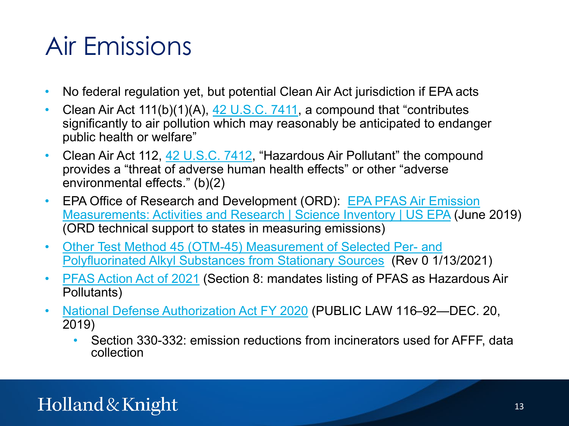### Air Emissions

- No federal regulation yet, but potential Clean Air Act jurisdiction if EPA acts
- Clean Air Act  $111(b)(1)(A), 42 U.S.C. 7411$  $111(b)(1)(A), 42 U.S.C. 7411$ , a compound that "contributes significantly to air pollution which may reasonably be anticipated to endanger public health or welfare"
- Clean Air Act 112, [42 U.S.C. 7412](https://www.law.cornell.edu/uscode/text/42/7412), "Hazardous Air Pollutant" the compound provides a "threat of adverse human health effects" or other "adverse environmental effects." (b)(2)
- EPA Office of Research and Development (ORD): EPA PFAS Air Emission [Measurements: Activities and Research | Science Inventory | US EPA](https://cfpub.epa.gov/si/si_public_record_report.cfm?Lab=NRMRL&dirEntryId=345762) (June 2019) (ORD technical support to states in measuring emissions)
- [Other Test Method 45 \(OTM-45\) Measurement of Selected Per-](https://www.epa.gov/sites/production/files/2021-01/documents/otm_45_semivolatile_pfas_1-13-21.pdf) and Polyfluorinated Alkyl Substances from Stationary Sources (Rev 0 1/13/2021)
- PFAS [Action Act of 2021](https://debbiedingell.house.gov/uploadedfiles/pfas_action_final.pdf) (Section 8: mandates listing of PFAS as Hazardous Air Pollutants)
- [National Defense Authorization Act FY 2020](https://congress.gov/116/plaws/publ92/PLAW-116publ92.pdf) (PUBLIC LAW 116–92—DEC. 20, 2019)
	- Section 330-332: emission reductions from incinerators used for AFFF, data collection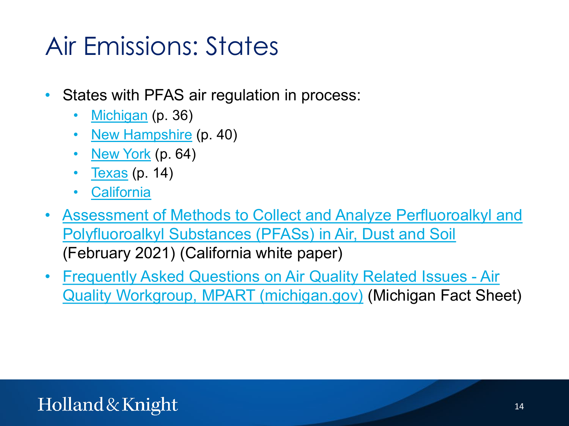## Air Emissions: States

- States with PFAS air regulation in process:
	- [Michigan](https://www.michigan.gov/documents/deq/deq-aqd-toxics-ITSLALPH_244167_7.pdf) (p. 36)
	- [New Hampshire](https://www.des.nh.gov/sites/g/files/ehbemt341/files/documents/2020-01/Env-A%201400.pdf) (p. 40)
	- [New York](https://www.dec.ny.gov/docs/air_pdf/dar1proposed.pdf) (p. 64)
	- <u>[Texas](https://www.tceq.texas.gov/assets/public/implementation/tox/evaluations/pfcs.pdf)</u> (p. 14)
	- [California](https://ww2.arb.ca.gov/our-work/programs/ab-2588-air-toxics-hot-spots/hot-spots-inventory-guidelines)
- [Assessment of Methods to Collect and Analyze Perfluoroalkyl](https://ww2.arb.ca.gov/sites/default/files/2021-05/040621%20--%20PFAS%20Final%20Report%20UCB%203%2018%2021%20(002).pdf) and Polyfluoroalkyl Substances (PFASs) in Air, Dust and Soil (February 2021) (California white paper)
- [Frequently Asked Questions on Air Quality Related Issues -](https://www.michigan.gov/documents/pfasresponse/Frequently_Asked_Questions_on_Air_Quality_Related_Issues_-_Air_Quality_Workgroup_MPART_663729_7.pdf) Air Quality Workgroup, MPART (michigan.gov) (Michigan Fact Sheet)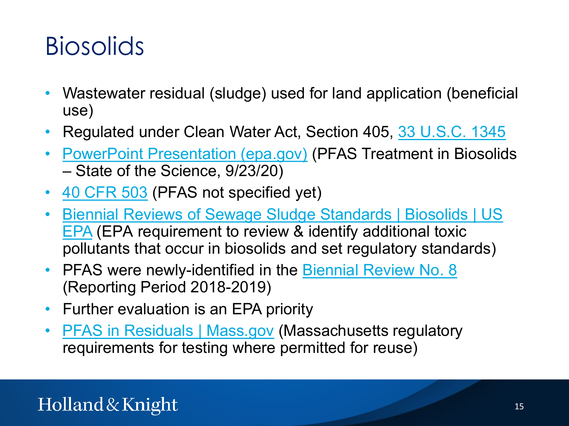### **Biosolids**

- Wastewater residual (sludge) used for land application (beneficial use)
- Regulated under Clean Water Act, Section 405, [33 U.S.C. 1345](https://www.law.cornell.edu/uscode/text/33/1345)
- **[PowerPoint Presentation \(epa.gov\)](https://www.epa.gov/sites/production/files/2020-10/documents/r1-pfas_webinar_day_2_session_6_mills_final.pdf) (PFAS Treatment in Biosolids** – State of the Science, 9/23/20)
- [40 CFR 503](https://www.law.cornell.edu/cfr/text/40/part-503) (PFAS not specified yet)
- [Biennial Reviews of Sewage Sludge Standards | Biosolids](https://www.epa.gov/biosolids/biennial-reviews-sewage-sludge-standards:%7E:text=Clean%20Water%20Act%20(CWA)%20Section,human%20health%20or%20the%20environment.) | US EPA (EPA requirement to review & identify additional toxic pollutants that occur in biosolids and set regulatory standards)
- PFAS were newly-identified in the [Biennial Review No. 8](https://www.epa.gov/biosolids/biennial-report-no-8-reporting-period-2018-2019) (Reporting Period 2018-2019)
- Further evaluation is an EPA priority
- **PFAS [in Residuals | Mass.gov](https://www.mass.gov/info-details/pfas-in-residuals) (Massachusetts regulatory** requirements for testing where permitted for reuse)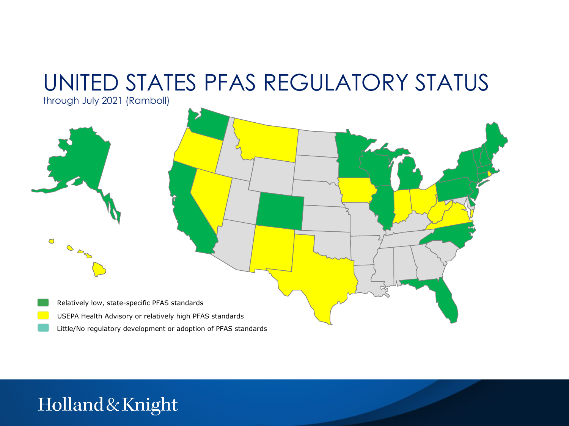### UNITED STATES PFAS REGULATORY STATUS

through July 2021 (Ramboll)

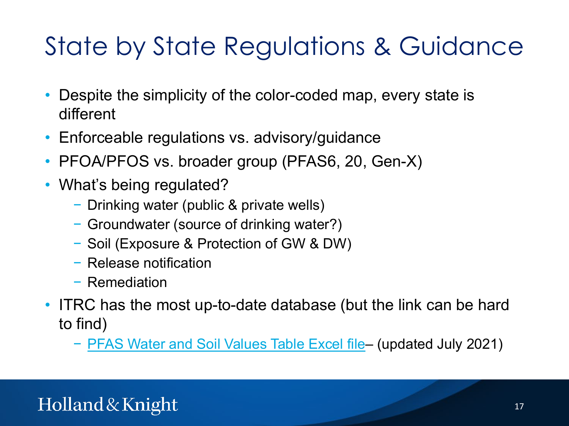# State by State Regulations & Guidance

- Despite the simplicity of the color-coded map, every state is different
- Enforceable regulations vs. advisory/guidance
- PFOA/PFOS vs. broader group (PFAS6, 20, Gen-X)
- What's being regulated?
	- − Drinking water (public & private wells)
	- − Groundwater (source of drinking water?)
	- − Soil (Exposure & Protection of GW & DW)
	- − Release notification
	- − Remediation
- ITRC has the most up-to-date database (but the link can be hard to find)
	- − PFAS [Water and Soil Values Table Excel file](https://pfas-1.itrcweb.org/wp-content/uploads/2021/08/ITRCPFASWaterandSoilValuesTables_JULY-2021-FINAL.xlsx) (updated July 2021)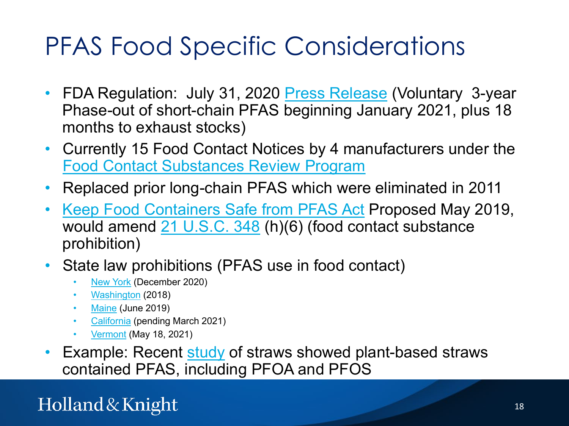### PFAS Food Specific Considerations

- FDA Regulation: July 31, 2020 [Press Release](https://www.fda.gov/food/cfsan-constituent-updates/fda-announces-voluntary-phase-out-industry-certain-pfas-used-food-packaging) (Voluntary 3-year Phase-out of short-chain PFAS beginning January 2021, plus 18 months to exhaust stocks)
- Currently 15 Food Contact Notices by 4 manufacturers under the [Food Contact Substances Review Program](https://www.fda.gov/food/inventory-effective-food-contact-substance-fcs-notifications/about-fcs-review-program)
- Replaced prior long-chain PFAS which were eliminated in 2011
- [Keep Food Containers Safe from PFAS](https://www.congress.gov/116/bills/hr2827/BILLS-116hr2827ih.pdf) Act Proposed May 2019, would amend [21 U.S.C. 348](https://www.law.cornell.edu/uscode/text/21/348) (h)(6) (food contact substance prohibition)
- State law prohibitions (PFAS use in food contact)
	- [New York](https://legislation.nysenate.gov/pdf/bills/2019/S8817) (December 2020)
	- [Washington](https://app.leg.wa.gov/RCW/default.aspx?cite=70A.222.070) (2018)
	- [Maine](https://www.maine.gov/dep/safechem/packaging/LD1433-PL277.pdf) (June 2019)
	- [California](https://leginfo.legislature.ca.gov/faces/billTextClient.xhtml?bill_id=202120220AB1200) (pending March 2021)
	- [Vermont](https://legislature.vermont.gov/Documents/2022/Docs/ACTS/ACT036/ACT036%20As%20Enacted.pdf) (May 18, 2021)
- Example: Recent [study](https://www.sciencedirect.com/science/article/abs/pii/S0045653521007074?via%3Dihub) of straws showed plant-based straws contained PFAS, including PFOA and PFOS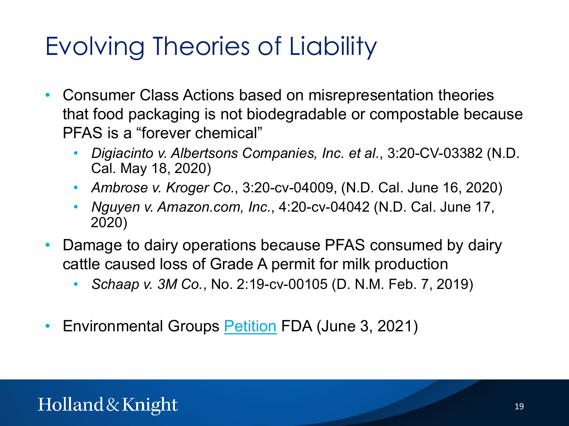# Evolving Theories of Liability

- Consumer Class Actions based on misrepresentation theories that food packaging is not biodegradable or compostable because PFAS is a "forever chemical"
	- *Digiacinto v. Albertsons Companies, Inc. et al.*, 3:20-CV-03382 (N.D. Cal. May 18, 2020)
	- *Ambrose v. Kroger Co.*, 3:20-cv-04009, (N.D. Cal. June 16, 2020)
	- *Nguyen v. Amazon.com, Inc.*, 4:20-cv-04042 (N.D. Cal. June 17, 2020)
- Damage to dairy operations because PFAS consumed by dairy cattle caused loss of Grade A permit for milk production
	- *Schaap v. 3M Co.*, No. 2:19-cv-00105 (D. N.M. Feb. 7, 2019)
- Environmental Groups **[Petition](http://blogs.edf.org/health/files/2021/06/PFAS-Petition-to-FDA-FINAL-6-1-21.pdf) FDA** (June 3, 2021)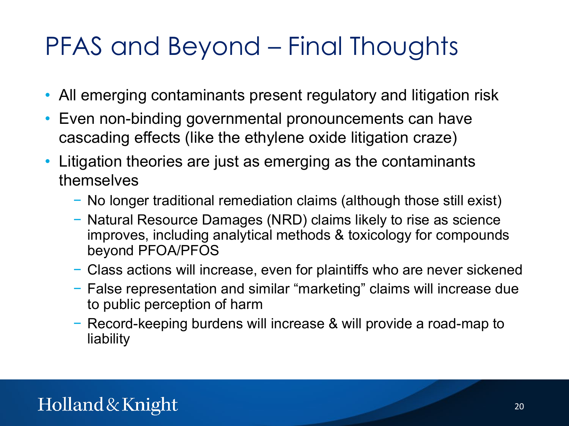# PFAS and Beyond – Final Thoughts

- All emerging contaminants present regulatory and litigation risk
- Even non-binding governmental pronouncements can have cascading effects (like the ethylene oxide litigation craze)
- Litigation theories are just as emerging as the contaminants themselves
	- − No longer traditional remediation claims (although those still exist)
	- − Natural Resource Damages (NRD) claims likely to rise as science improves, including analytical methods & toxicology for compounds beyond PFOA/PFOS
	- − Class actions will increase, even for plaintiffs who are never sickened
	- − False representation and similar "marketing" claims will increase due to public perception of harm
	- − Record-keeping burdens will increase & will provide a road-map to liability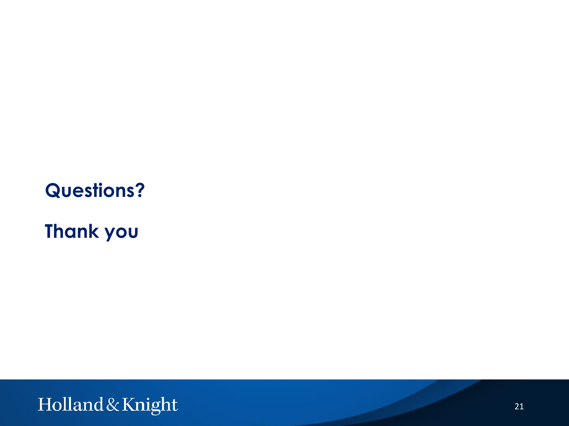#### **Questions?**

**Thank you**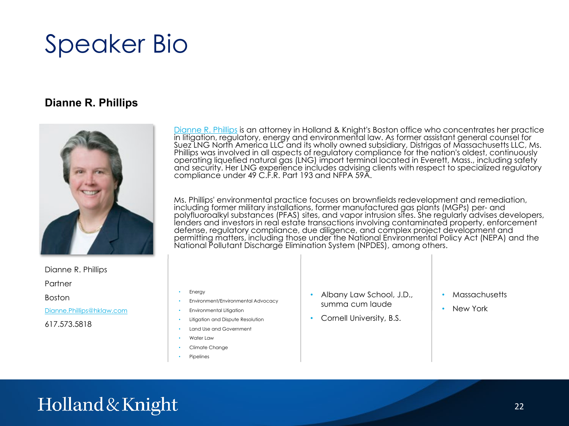### Speaker Bio

#### **Dianne R. Phillips**



Dianne R. Phillips

Partner

Boston

[Dianne.Phillips@hklaw.com](mailto:Dianne.Phillips@hklaw.com)

617.573.5818

[Dianne R. Phillips](https://www.hklaw.com/en/professionals/p/phillips-dianne-r) is an attorney in Holland & Knight's Boston office who concentrates her practice in litigation, regulatory, energy and environmental law. As former assistant general counsel for Suez LNG North America LLC and its wholly owned subsidiary, Distrigas of Massachusetts LLC, Ms. Phillips was involved in all aspects of regulatory compliance for the nation's oldest, continuously operating liquefied natural gas (LNG) import terminal located in Everett, Mass., including safety and security. Her LNG experience includes advising clients with respect to specialized regulatory compliance under 49 C.F.R. Part 193 and NFPA 59A.

Ms. Phillips' environmental practice focuses on brownfields redevelopment and remediation, including former military installations, former manufactured gas plants (MGPs) per- and polyfluoroalkyl substances (PFAS) sites, and vapor intrusion sites. She requiarly advises developers, lenders and investors in real estate transactions involving contaminated property, enforcement defense, regulatory compliance, due diligence, and complex project development and permitting matters, including those under the National Environmental Policy Act (NEPA) and the National Pollutant Discharge Elimination System (NPDES), among others.

- **Energy**
- Environment/Environmental Advocacy
- Environmental Litigation
- Litigation and Dispute Resolution
- Land Use and Government
- Water Law
- Climate Change
- **Pipelines**
- Albany Law School, J.D., summa cum laude
- Cornell University, B.S.
- Massachusetts
- New York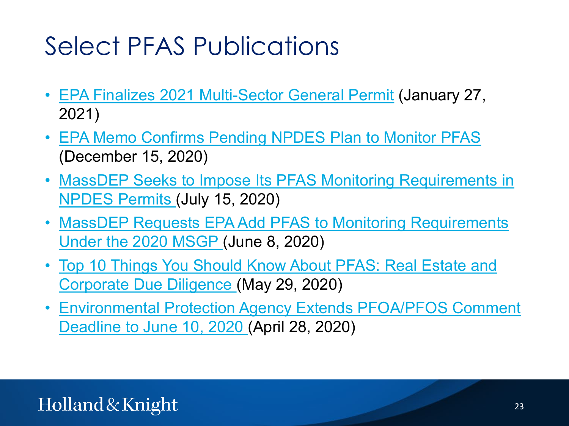## Select PFAS Publications

- [EPA Finalizes 2021 Multi-Sector General Permit](https://www.hklaw.com/en/insights/publications/2021/01/epa-finalizes-2021-multi-sector-general-permit) (January 27, 2021)
- [EPA Memo Confirms Pending NPDES](https://www.hklaw.com/en/insights/publications/2020/12/epa-memo-confirms-pending-npdes-plan-to-monitor-pfas) Plan to Monitor PFAS (December 15, 2020)
- MassDEP Seeks to Impose Its PFAS [Monitoring Requirements in](https://www.hklaw.com/en/insights/publications/2020/07/massdep-seeks-to-impose-its-pfas-monitoring-requirements)  NPDES Permits (July 15, 2020)
- MassDEP Requests EPA Add PFAS [to Monitoring Requirements](https://www.hklaw.com/en/insights/publications/2020/06/massdep-requests-epa-add-pfas-to-monitoring-requirements)  Under the 2020 MSGP (June 8, 2020)
- [Top 10 Things You Should Know About PFAS: Real Estate and](https://www.hklaw.com/en/insights/publications/2020/05/top-10-things-you-should-know-about-pfas) Corporate Due Diligence (May 29, 2020)
- [Environmental Protection Agency Extends PFOA/PFOS](https://www.hklaw.com/en/insights/publications/2020/04/environmental-protection-agency-extends-pfoapfos-comment-deadline) Comment Deadline to June 10, 2020 (April 28, 2020)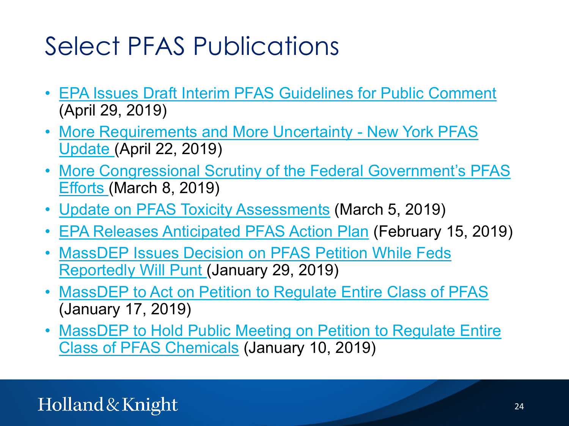### Select PFAS Publications

- EPA Issues Draft Interim PFAS [Guidelines for Public Comment](https://www.hklaw.com/en/insights/publications/2019/04/epa-issues-draft-interim-pfas-guidelines-for-public-comment) (April 29, 2019)
- [More Requirements and More Uncertainty -](https://www.hklaw.com/en/insights/publications/2019/04/more-requirements-and-more-uncertainty-new-york-pfas-update) New York PFAS Update (April 22, 2019)
- [More Congressional Scrutiny of the Federal Government's PFAS](https://www.hklaw.com/en/insights/publications/2019/03/more-congressional-scrutiny-of-the-federal-governm) Efforts (March 8, 2019)
- Update on PFAS [Toxicity Assessments](https://www.hklaw.com/en/insights/publications/2019/03/update-on-pfas-toxicity-assessments) (March 5, 2019)
- [EPA Releases Anticipated PFAS](https://www.hklaw.com/en/insights/publications/2019/02/epa-releases-anticipated-pfas-action-plan) Action Plan (February 15, 2019)
- MassDEP Issues Decision on PFAS Petition While Feds [Reportedly Will Punt \(January 29, 2019\)](https://www.hklaw.com/en/insights/publications/2019/01/massdep-issues-decision-on-pfas-petition-while-fed)
- **MassDEP [to Act on Petition to Regulate Entire Class of PFAS](https://www.hklaw.com/en/insights/publications/2019/01/massdep-to-act-on-petition-to-regulate-entire-clas)** (January 17, 2019)
- MassDEP [to Hold Public Meeting on Petition to Regulate Entire](https://www.hklaw.com/en/insights/publications/2019/01/massdep-to-hold-public-meeting-on-petition-to-regu) Class of PFAS Chemicals (January 10, 2019)